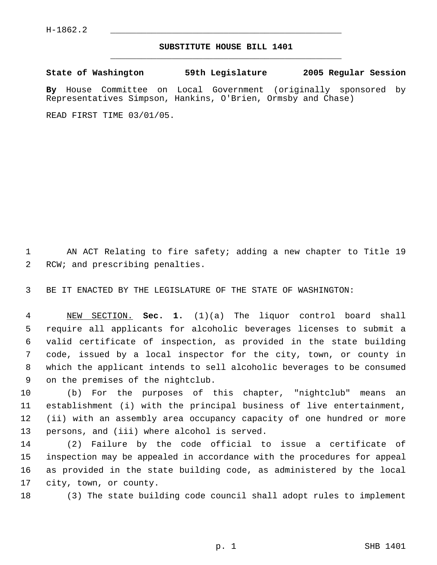## **SUBSTITUTE HOUSE BILL 1401** \_\_\_\_\_\_\_\_\_\_\_\_\_\_\_\_\_\_\_\_\_\_\_\_\_\_\_\_\_\_\_\_\_\_\_\_\_\_\_\_\_\_\_\_\_

**State of Washington 59th Legislature 2005 Regular Session**

**By** House Committee on Local Government (originally sponsored by Representatives Simpson, Hankins, O'Brien, Ormsby and Chase)

READ FIRST TIME 03/01/05.

 AN ACT Relating to fire safety; adding a new chapter to Title 19 RCW; and prescribing penalties.

BE IT ENACTED BY THE LEGISLATURE OF THE STATE OF WASHINGTON:

 NEW SECTION. **Sec. 1.** (1)(a) The liquor control board shall require all applicants for alcoholic beverages licenses to submit a valid certificate of inspection, as provided in the state building code, issued by a local inspector for the city, town, or county in which the applicant intends to sell alcoholic beverages to be consumed on the premises of the nightclub.

 (b) For the purposes of this chapter, "nightclub" means an establishment (i) with the principal business of live entertainment, (ii) with an assembly area occupancy capacity of one hundred or more persons, and (iii) where alcohol is served.

 (2) Failure by the code official to issue a certificate of inspection may be appealed in accordance with the procedures for appeal as provided in the state building code, as administered by the local city, town, or county.

(3) The state building code council shall adopt rules to implement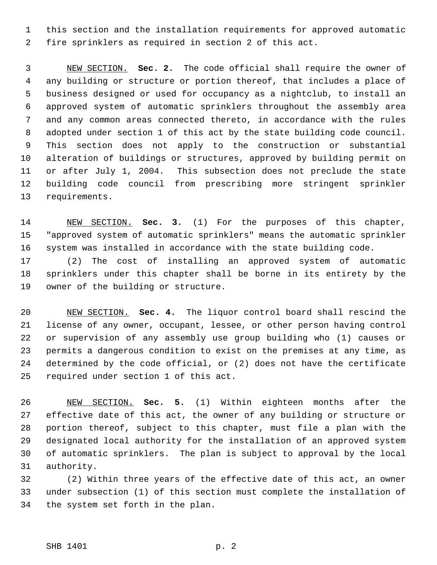this section and the installation requirements for approved automatic fire sprinklers as required in section 2 of this act.

 NEW SECTION. **Sec. 2.** The code official shall require the owner of any building or structure or portion thereof, that includes a place of business designed or used for occupancy as a nightclub, to install an approved system of automatic sprinklers throughout the assembly area and any common areas connected thereto, in accordance with the rules adopted under section 1 of this act by the state building code council. This section does not apply to the construction or substantial alteration of buildings or structures, approved by building permit on or after July 1, 2004. This subsection does not preclude the state building code council from prescribing more stringent sprinkler requirements.

 NEW SECTION. **Sec. 3.** (1) For the purposes of this chapter, "approved system of automatic sprinklers" means the automatic sprinkler system was installed in accordance with the state building code.

 (2) The cost of installing an approved system of automatic sprinklers under this chapter shall be borne in its entirety by the owner of the building or structure.

 NEW SECTION. **Sec. 4.** The liquor control board shall rescind the license of any owner, occupant, lessee, or other person having control or supervision of any assembly use group building who (1) causes or permits a dangerous condition to exist on the premises at any time, as determined by the code official, or (2) does not have the certificate required under section 1 of this act.

 NEW SECTION. **Sec. 5.** (1) Within eighteen months after the effective date of this act, the owner of any building or structure or portion thereof, subject to this chapter, must file a plan with the designated local authority for the installation of an approved system of automatic sprinklers. The plan is subject to approval by the local authority.

 (2) Within three years of the effective date of this act, an owner under subsection (1) of this section must complete the installation of the system set forth in the plan.